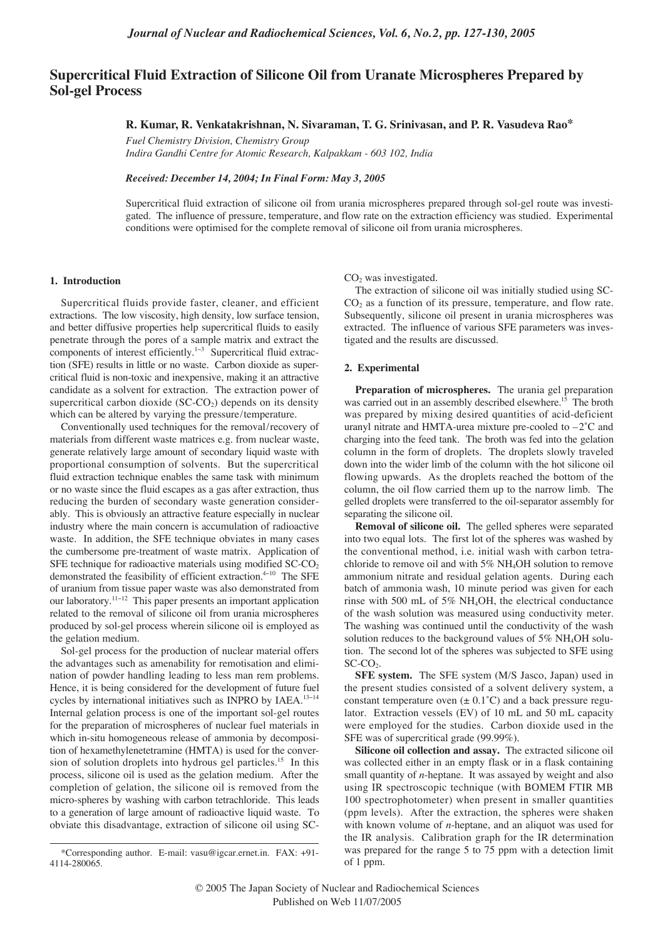# **Supercritical Fluid Extraction of Silicone Oil from Uranate Microspheres Prepared by Sol-gel Process**

# **R. Kumar, R. Venkatakrishnan, N. Sivaraman, T. G. Srinivasan, and P. R. Vasudeva Rao\***

*Fuel Chemistry Division, Chemistry Group Indira Gandhi Centre for Atomic Research, Kalpakkam - 603 102, India*

*Received: December 14, 2004; In Final Form: May 3, 2005*

Supercritical fluid extraction of silicone oil from urania microspheres prepared through sol-gel route was investigated. The influence of pressure, temperature, and flow rate on the extraction efficiency was studied. Experimental conditions were optimised for the complete removal of silicone oil from urania microspheres.

## **1. Introduction**

Supercritical fluids provide faster, cleaner, and efficient extractions. The low viscosity, high density, low surface tension, and better diffusive properties help supercritical fluids to easily penetrate through the pores of a sample matrix and extract the components of interest efficiently.1−<sup>3</sup> Supercritical fluid extraction (SFE) results in little or no waste. Carbon dioxide as supercritical fluid is non-toxic and inexpensive, making it an attractive candidate as a solvent for extraction. The extraction power of supercritical carbon dioxide  $(SC-CO<sub>2</sub>)$  depends on its density which can be altered by varying the pressure/temperature.

Conventionally used techniques for the removal/recovery of materials from different waste matrices e.g. from nuclear waste, generate relatively large amount of secondary liquid waste with proportional consumption of solvents. But the supercritical fluid extraction technique enables the same task with minimum or no waste since the fluid escapes as a gas after extraction, thus reducing the burden of secondary waste generation considerably. This is obviously an attractive feature especially in nuclear industry where the main concern is accumulation of radioactive waste. In addition, the SFE technique obviates in many cases the cumbersome pre-treatment of waste matrix. Application of SFE technique for radioactive materials using modified  $SCCO<sub>2</sub>$ demonstrated the feasibility of efficient extraction.<sup>4−10</sup> The SFE of uranium from tissue paper waste was also demonstrated from our laboratory.11−<sup>12</sup> This paper presents an important application related to the removal of silicone oil from urania microspheres produced by sol-gel process wherein silicone oil is employed as the gelation medium.

Sol-gel process for the production of nuclear material offers the advantages such as amenability for remotisation and elimination of powder handling leading to less man rem problems. Hence, it is being considered for the development of future fuel cycles by international initiatives such as INPRO by IAEA.<sup>13−14</sup> Internal gelation process is one of the important sol-gel routes for the preparation of microspheres of nuclear fuel materials in which in-situ homogeneous release of ammonia by decomposition of hexamethylenetetramine (HMTA) is used for the conversion of solution droplets into hydrous gel particles.<sup>15</sup> In this process, silicone oil is used as the gelation medium. After the completion of gelation, the silicone oil is removed from the micro-spheres by washing with carbon tetrachloride. This leads to a generation of large amount of radioactive liquid waste. To obviate this disadvantage, extraction of silicone oil using SC-

 $CO<sub>2</sub>$  was investigated.

The extraction of silicone oil was initially studied using SC- $CO<sub>2</sub>$  as a function of its pressure, temperature, and flow rate. Subsequently, silicone oil present in urania microspheres was extracted. The influence of various SFE parameters was investigated and the results are discussed.

## **2. Experimental**

**Preparation of microspheres.** The urania gel preparation was carried out in an assembly described elsewhere.<sup>15</sup> The broth was prepared by mixing desired quantities of acid-deficient uranyl nitrate and HMTA-urea mixture pre-cooled to –2˚C and charging into the feed tank. The broth was fed into the gelation column in the form of droplets. The droplets slowly traveled down into the wider limb of the column with the hot silicone oil flowing upwards. As the droplets reached the bottom of the column, the oil flow carried them up to the narrow limb. The gelled droplets were transferred to the oil-separator assembly for separating the silicone oil.

**Removal of silicone oil.** The gelled spheres were separated into two equal lots. The first lot of the spheres was washed by the conventional method, i.e. initial wash with carbon tetrachloride to remove oil and with 5% NH4OH solution to remove ammonium nitrate and residual gelation agents. During each batch of ammonia wash, 10 minute period was given for each rinse with 500 mL of 5% NH4OH, the electrical conductance of the wash solution was measured using conductivity meter. The washing was continued until the conductivity of the wash solution reduces to the background values of  $5\%$  NH<sub>4</sub>OH solution. The second lot of the spheres was subjected to SFE using  $SC$ - $CO<sub>2</sub>$ .

**SFE system.** The SFE system (M/S Jasco, Japan) used in the present studies consisted of a solvent delivery system, a constant temperature oven  $(\pm 0.1^{\circ}C)$  and a back pressure regulator. Extraction vessels (EV) of 10 mL and 50 mL capacity were employed for the studies. Carbon dioxide used in the SFE was of supercritical grade (99.99%).

**Silicone oil collection and assay.** The extracted silicone oil was collected either in an empty flask or in a flask containing small quantity of *n*-heptane. It was assayed by weight and also using IR spectroscopic technique (with BOMEM FTIR MB 100 spectrophotometer) when present in smaller quantities (ppm levels). After the extraction, the spheres were shaken with known volume of *n*-heptane, and an aliquot was used for the IR analysis. Calibration graph for the IR determination was prepared for the range 5 to 75 ppm with a detection limit of 1 ppm.

<sup>\*</sup>Corresponding author. E-mail: vasu@igcar.ernet.in. FAX: +91- 4114-280065.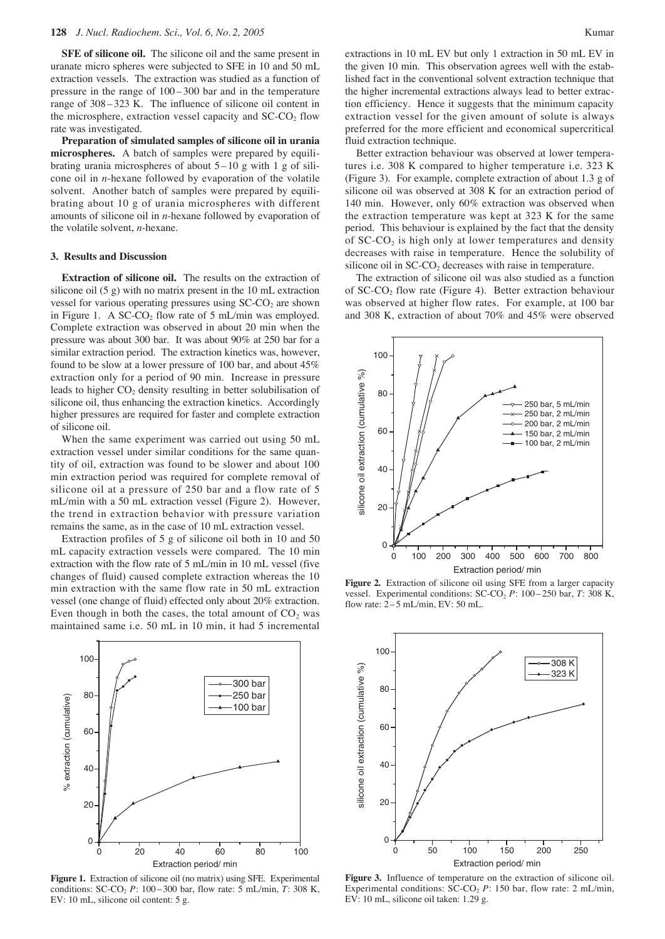**SFE of silicone oil.** The silicone oil and the same present in uranate micro spheres were subjected to SFE in 10 and 50 mL extraction vessels. The extraction was studied as a function of pressure in the range of 100 – 300 bar and in the temperature range of 308 – 323 K. The influence of silicone oil content in the microsphere, extraction vessel capacity and  $SCCO<sub>2</sub>$  flow rate was investigated.

**Preparation of simulated samples of silicone oil in urania microspheres.** A batch of samples were prepared by equilibrating urania microspheres of about  $5 - 10$  g with 1 g of silicone oil in *n*-hexane followed by evaporation of the volatile solvent. Another batch of samples were prepared by equilibrating about 10 g of urania microspheres with different amounts of silicone oil in *n*-hexane followed by evaporation of the volatile solvent, *n*-hexane.

#### **3. Results and Discussion**

**Extraction of silicone oil.** The results on the extraction of silicone oil (5 g) with no matrix present in the 10 mL extraction vessel for various operating pressures using  $SCCO<sub>2</sub>$  are shown in Figure 1. A  $SC-CO<sub>2</sub>$  flow rate of 5 mL/min was employed. Complete extraction was observed in about 20 min when the pressure was about 300 bar. It was about 90% at 250 bar for a similar extraction period. The extraction kinetics was, however, found to be slow at a lower pressure of 100 bar, and about 45% extraction only for a period of 90 min. Increase in pressure leads to higher  $CO<sub>2</sub>$  density resulting in better solubilisation of silicone oil, thus enhancing the extraction kinetics. Accordingly higher pressures are required for faster and complete extraction of silicone oil.

When the same experiment was carried out using 50 mL extraction vessel under similar conditions for the same quantity of oil, extraction was found to be slower and about 100 min extraction period was required for complete removal of silicone oil at a pressure of 250 bar and a flow rate of 5 mL/min with a 50 mL extraction vessel (Figure 2). However, the trend in extraction behavior with pressure variation remains the same, as in the case of 10 mL extraction vessel.

Extraction profiles of 5 g of silicone oil both in 10 and 50 mL capacity extraction vessels were compared. The 10 min extraction with the flow rate of 5 mL/min in 10 mL vessel (five changes of fluid) caused complete extraction whereas the 10 min extraction with the same flow rate in 50 mL extraction vessel (one change of fluid) effected only about 20% extraction. Even though in both the cases, the total amount of  $CO<sub>2</sub>$  was maintained same i.e. 50 mL in 10 min, it had 5 incremental



**Figure 1.** Extraction of silicone oil (no matrix) using SFE. Experimental conditions: SC-CO<sub>2</sub> *P*: 100 – 300 bar, flow rate: 5 mL/min, *T*: 308 K, EV: 10 mL, silicone oil content: 5 g.

extractions in 10 mL EV but only 1 extraction in 50 mL EV in the given 10 min. This observation agrees well with the established fact in the conventional solvent extraction technique that the higher incremental extractions always lead to better extraction efficiency. Hence it suggests that the minimum capacity extraction vessel for the given amount of solute is always preferred for the more efficient and economical supercritical fluid extraction technique.

Better extraction behaviour was observed at lower temperatures i.e. 308 K compared to higher temperature i.e. 323 K (Figure 3). For example, complete extraction of about 1.3 g of silicone oil was observed at 308 K for an extraction period of 140 min. However, only 60% extraction was observed when the extraction temperature was kept at 323 K for the same period. This behaviour is explained by the fact that the density of  $SC\text{-}CO<sub>2</sub>$  is high only at lower temperatures and density decreases with raise in temperature. Hence the solubility of silicone oil in  $SC\text{-}CO<sub>2</sub>$  decreases with raise in temperature.

The extraction of silicone oil was also studied as a function of  $SCCO<sub>2</sub>$  flow rate (Figure 4). Better extraction behaviour was observed at higher flow rates. For example, at 100 bar and 308 K, extraction of about 70% and 45% were observed



**Figure 2.** Extraction of silicone oil using SFE from a larger capacity vessel. Experimental conditions: SC-CO<sub>2</sub> P: 100–250 bar, T: 308 K, flow rate: 2–5 mL/min, EV: 50 mL.



**Figure 3.** Influence of temperature on the extraction of silicone oil. Experimental conditions:  $SC\text{-}CO<sub>2</sub> P: 150 \text{ bar}$ , flow rate: 2 mL/min, EV: 10 mL, silicone oil taken: 1.29 g.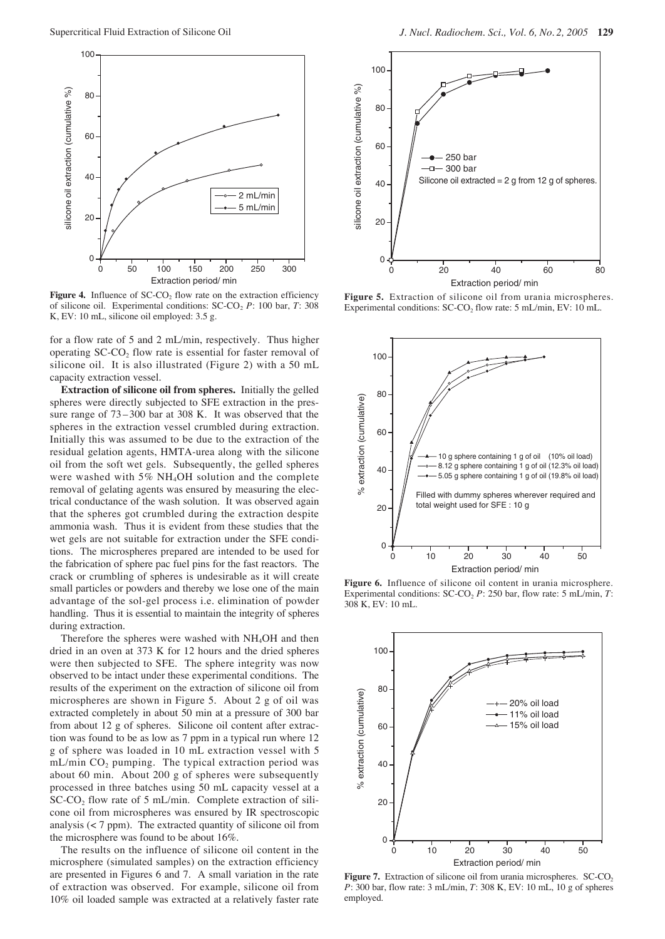

**Figure 4.** Influence of  $SCCO<sub>2</sub>$  flow rate on the extraction efficiency of silicone oil. Experimental conditions: SC-CO<sub>2</sub> P: 100 bar, T: 308 K, EV: 10 mL, silicone oil employed: 3.5 g.

for a flow rate of 5 and 2 mL/min, respectively. Thus higher operating  $SC\text{-}CO<sub>2</sub>$  flow rate is essential for faster removal of silicone oil. It is also illustrated (Figure 2) with a 50 mL capacity extraction vessel.

**Extraction of silicone oil from spheres.** Initially the gelled spheres were directly subjected to SFE extraction in the pressure range of 73 – 300 bar at 308 K. It was observed that the spheres in the extraction vessel crumbled during extraction. Initially this was assumed to be due to the extraction of the residual gelation agents, HMTA-urea along with the silicone oil from the soft wet gels. Subsequently, the gelled spheres were washed with 5% NH4OH solution and the complete removal of gelating agents was ensured by measuring the electrical conductance of the wash solution. It was observed again that the spheres got crumbled during the extraction despite ammonia wash. Thus it is evident from these studies that the wet gels are not suitable for extraction under the SFE conditions. The microspheres prepared are intended to be used for the fabrication of sphere pac fuel pins for the fast reactors. The crack or crumbling of spheres is undesirable as it will create small particles or powders and thereby we lose one of the main advantage of the sol-gel process i.e. elimination of powder handling. Thus it is essential to maintain the integrity of spheres during extraction.

Therefore the spheres were washed with NH<sub>4</sub>OH and then dried in an oven at 373 K for 12 hours and the dried spheres were then subjected to SFE. The sphere integrity was now observed to be intact under these experimental conditions. The results of the experiment on the extraction of silicone oil from microspheres are shown in Figure 5. About 2 g of oil was extracted completely in about 50 min at a pressure of 300 bar from about 12 g of spheres. Silicone oil content after extraction was found to be as low as 7 ppm in a typical run where 12 g of sphere was loaded in 10 mL extraction vessel with 5  $mL/min CO<sub>2</sub> pumping.$  The typical extraction period was about 60 min. About 200 g of spheres were subsequently processed in three batches using 50 mL capacity vessel at a SC-CO<sub>2</sub> flow rate of 5 mL/min. Complete extraction of silicone oil from microspheres was ensured by IR spectroscopic analysis  $\left($  < 7 ppm). The extracted quantity of silicone oil from the microsphere was found to be about 16%.

The results on the influence of silicone oil content in the microsphere (simulated samples) on the extraction efficiency are presented in Figures 6 and 7. A small variation in the rate of extraction was observed. For example, silicone oil from 10% oil loaded sample was extracted at a relatively faster rate



**Figure 5.** Extraction of silicone oil from urania microspheres. Experimental conditions:  $SC\text{-}CO<sub>2</sub>$  flow rate: 5 mL/min, EV: 10 mL.



**Figure 6.** Influence of silicone oil content in urania microsphere. Experimental conditions: SC-CO<sub>2</sub> P: 250 bar, flow rate: 5 mL/min, T: 308 K, EV: 10 mL.



Figure 7. Extraction of silicone oil from urania microspheres. SC-CO<sub>2</sub> *P*: 300 bar, flow rate: 3 mL/min, *T*: 308 K, EV: 10 mL, 10 g of spheres employed.